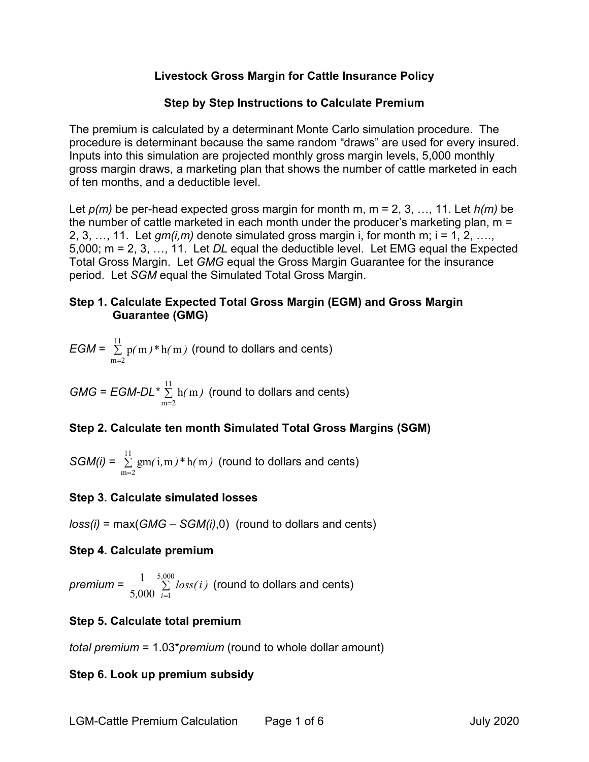### **Livestock Gross Margin for Cattle Insurance Policy**

### **Step by Step Instructions to Calculate Premium**

The premium is calculated by a determinant Monte Carlo simulation procedure. The procedure is determinant because the same random "draws" are used for every insured. Inputs into this simulation are projected monthly gross margin levels, 5,000 monthly gross margin draws, a marketing plan that shows the number of cattle marketed in each of ten months, and a deductible level.

Let *p(m)* be per-head expected gross margin for month m, m = 2, 3, …, 11. Let *h(m)* be the number of cattle marketed in each month under the producer's marketing plan, m = 2, 3, …, 11. Let  $gm(i,m)$  denote simulated gross margin i, for month m; i = 1, 2, …. 5,000; m = 2, 3, …, 11. Let *DL* equal the deductible level. Let EMG equal the Expected Total Gross Margin. Let *GMG* equal the Gross Margin Guarantee for the insurance period. Let *SGM* equal the Simulated Total Gross Margin.

### **Step 1. Calculate Expected Total Gross Margin (EGM) and Gross Margin Guarantee (GMG)**

$$
EGM = \sum_{m=2}^{11} p(m)*h(m)
$$
 (round to dollars and cents)

 $GMG = EGM-DL^* \sum^{11}$  $m = 2$ h m*( )* =  $\sum\, \rm h(\,m\,)\,$  (round to dollars and cents)

# **Step 2. Calculate ten month Simulated Total Gross Margins (SGM)**

$$
SGM(i) = \sum_{m=2}^{11} gm(i, m) * h(m)
$$
 (round to dollars and cents)

# **Step 3. Calculate simulated losses**

*loss(i)* = max(*GMG* – *SGM(i)*,0) (round to dollars and cents)

### **Step 4. Calculate premium**

 $p$ *remium* =  $\frac{1}{5,000}$  ∑ = 5 000 5,000  $\sum_{i=1}$ 1 *,*  $\frac{1}{\sqrt{0.000}}$   $\sum\limits_{i=1}^{1}$  *loss(i)* (round to dollars and cents)

# **Step 5. Calculate total premium**

*total premium* = 1.03\**premium* (round to whole dollar amount)

# **Step 6. Look up premium subsidy**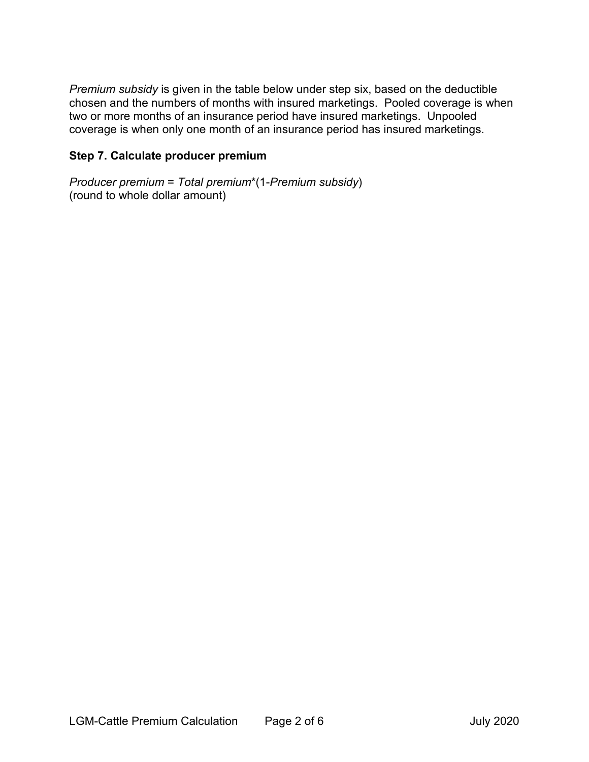*Premium subsidy* is given in the table below under step six, based on the deductible chosen and the numbers of months with insured marketings. Pooled coverage is when two or more months of an insurance period have insured marketings. Unpooled coverage is when only one month of an insurance period has insured marketings.

### **Step 7. Calculate producer premium**

*Producer premium* = *Total premium*\*(1-*Premium subsidy*) (round to whole dollar amount)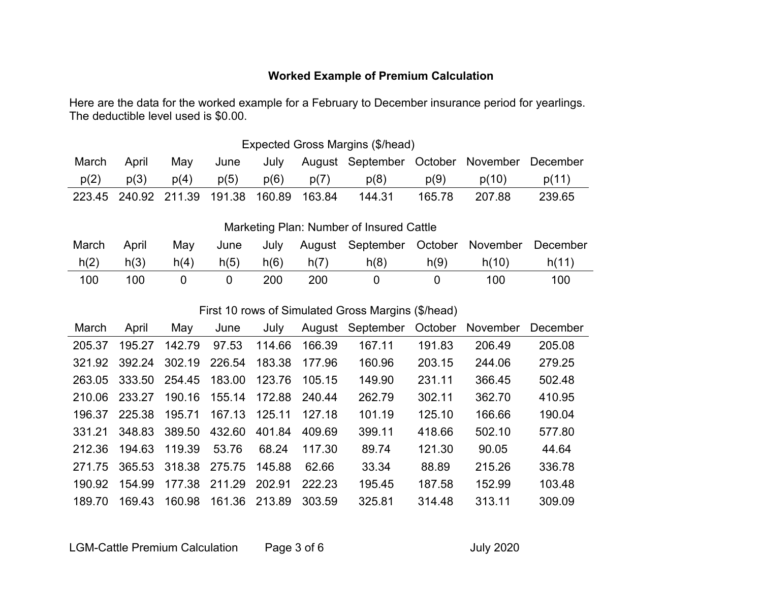# **Worked Example of Premium Calculation**

Here are the data for the worked example for a February to December insurance period for yearlings. The deductible level used is \$0.00.

| Expected Gross Margins (\$/head) |                      |      |        |        |        |                                   |        |        |          |
|----------------------------------|----------------------|------|--------|--------|--------|-----------------------------------|--------|--------|----------|
| March                            | April                | Mav  | June   | July   |        | August September October November |        |        | December |
| p(2)                             | p(3)                 | p(4) | p(5)   | p(6)   | p(7)   | p(8)                              | p(9)   | p(10)  | p(11)    |
|                                  | 223.45 240.92 211.39 |      | 191.38 | 160.89 | 163.84 | 144.31                            | 165.78 | 207.88 | 239.65   |
|                                  |                      |      |        |        |        |                                   |        |        |          |

Marketing Plan: Number of Insured Cattle

| March | April | Mav  | June | July |      | August September October November |      |       | December |
|-------|-------|------|------|------|------|-----------------------------------|------|-------|----------|
| h(2)  | h(3)  | h(4) | h(5) | h(6) | h(7) | h(8)                              | h(9) | h(10) | h(11)    |
| 100   | 100   |      |      | 200  | 200  |                                   |      | 100   | 100      |

### First 10 rows of Simulated Gross Margins (\$/head)

| March  | April  | May           | June   | July   | August  | September | October | November | December |
|--------|--------|---------------|--------|--------|---------|-----------|---------|----------|----------|
| 205.37 | 195.27 | 142.79        | 97.53  | 114.66 | 166.39  | 167.11    | 191.83  | 206.49   | 205.08   |
| 321.92 | 392.24 | 302.19        | 226.54 | 183.38 | 177.96  | 160.96    | 203.15  | 244.06   | 279.25   |
| 263.05 | 333.50 | 254.45        | 183.00 | 123.76 | 105, 15 | 149.90    | 231.11  | 366.45   | 502.48   |
| 210.06 | 233.27 | 190.16        | 155.14 | 172.88 | 240.44  | 262.79    | 302.11  | 362.70   | 410.95   |
| 196.37 | 225.38 | 195.71        | 167.13 | 125.11 | 127 18  | 101.19    | 125.10  | 166.66   | 190.04   |
| 331.21 | 348.83 | 389.50        | 432.60 | 401.84 | 409.69  | 399.11    | 418.66  | 502.10   | 577.80   |
| 212.36 | 194.63 | 119.39        | 53.76  | 68.24  | 117.30  | 89.74     | 121.30  | 90.05    | 44.64    |
| 271 75 |        | 365.53 318.38 | 275.75 | 145.88 | 62.66   | 33.34     | 88.89   | 215.26   | 336.78   |
| 190.92 | 154.99 | 177.38        | 211.29 | 202.91 | 222.23  | 195.45    | 187.58  | 152.99   | 103.48   |
| 189.70 | 169.43 | 160.98        | 161.36 | 213.89 | 303.59  | 325.81    | 314.48  | 313.11   | 309.09   |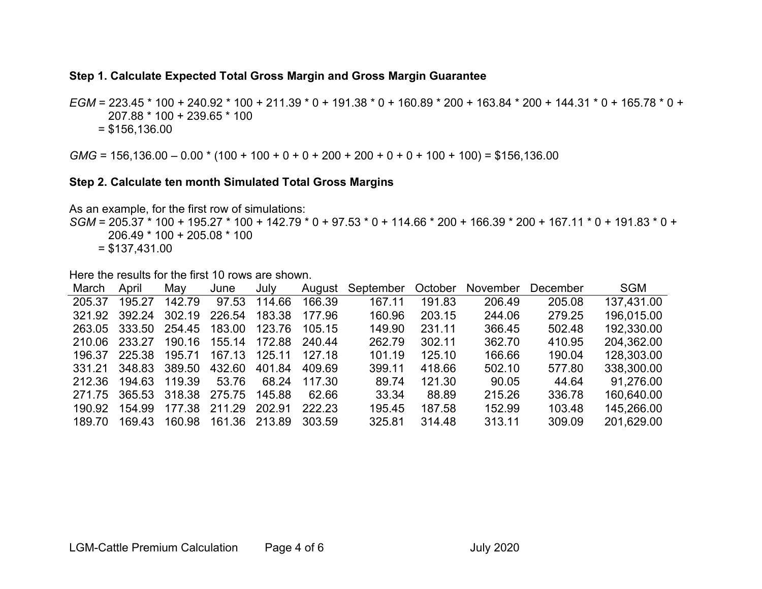#### **Step 1. Calculate Expected Total Gross Margin and Gross Margin Guarantee**

*EGM* = 223.45 \* 100 + 240.92 \* 100 + 211.39 \* 0 + 191.38 \* 0 + 160.89 \* 200 + 163.84 \* 200 + 144.31 \* 0 + 165.78 \* 0 + 207.88 \* 100 + 239.65 \* 100  $= $156,136.00$ 

*GMG* = 156,136.00 – 0.00 \* (100 + 100 + 0 + 0 + 200 + 200 + 0 + 0 + 100 + 100) = \$156,136.00

#### **Step 2. Calculate ten month Simulated Total Gross Margins**

As an example, for the first row of simulations:

*SGM* = 205.37 \* 100 + 195.27 \* 100 + 142.79 \* 0 + 97.53 \* 0 + 114.66 \* 200 + 166.39 \* 200 + 167.11 \* 0 + 191.83 \* 0 + 206.49 \* 100 + 205.08 \* 100  $= $137,431.00$ 

Here the results for the first 10 rows are shown.

| March  | April  | Mav    | June   | July   | August | September | October | <b>November</b> | December | <b>SGM</b> |
|--------|--------|--------|--------|--------|--------|-----------|---------|-----------------|----------|------------|
| 205.37 | 195.27 | 142.79 | 97.53  | 114.66 | 166.39 | 167.11    | 191.83  | 206.49          | 205.08   | 137,431.00 |
| 321.92 | 392.24 | 302.19 | 226.54 | 183.38 | 177.96 | 160.96    | 203.15  | 244.06          | 279.25   | 196,015.00 |
| 263.05 | 333.50 | 254.45 | 183.00 | 123.76 | 105.15 | 149.90    | 231.11  | 366.45          | 502.48   | 192,330.00 |
| 210.06 | 233.27 | 190.16 | 155.14 | 172.88 | 240.44 | 262.79    | 302.11  | 362.70          | 410.95   | 204,362.00 |
| 196.37 | 225.38 | 195.71 | 167.13 | 125.11 | 127 18 | 101.19    | 125.10  | 166.66          | 190.04   | 128,303.00 |
| 331.21 | 348.83 | 389.50 | 432.60 | 401.84 | 409.69 | 399.11    | 418.66  | 502.10          | 577.80   | 338,300.00 |
| 212.36 | 194.63 | 119.39 | 53.76  | 68.24  | 117.30 | 89.74     | 121.30  | 90.05           | 44.64    | 91.276.00  |
| 271.75 | 365.53 | 318.38 | 275.75 | 145.88 | 62.66  | 33.34     | 88.89   | 215.26          | 336.78   | 160,640.00 |
| 190.92 | 154.99 | 177.38 | 211 29 | 202.91 | 222.23 | 195.45    | 187.58  | 152.99          | 103.48   | 145,266.00 |
| 189.70 | 169.43 | 160.98 | 161.36 | 213.89 | 303.59 | 325.81    | 314.48  | 313.11          | 309.09   | 201,629.00 |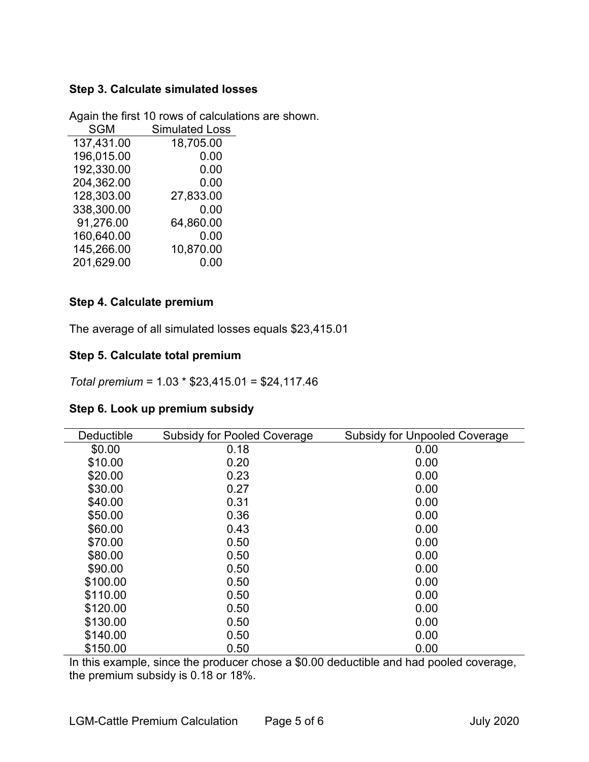### **Step 3. Calculate simulated losses**

| <b>SGM</b> | <b>Simulated Loss</b> |
|------------|-----------------------|
| 137,431.00 | 18,705.00             |
| 196,015.00 | 0.00                  |
| 192,330.00 | 0.00                  |
| 204,362.00 | 0.00                  |
| 128,303.00 | 27,833.00             |
| 338,300.00 | 0.00                  |
| 91,276.00  | 64,860.00             |
| 160,640.00 | 0.00                  |
| 145,266.00 | 10,870.00             |
| 201,629.00 | 0.00                  |

Again the first 10 rows of calculations are shown.

### **Step 4. Calculate premium**

The average of all simulated losses equals \$23,415.01

#### **Step 5. Calculate total premium**

*Total premium* = 1.03 \* \$23,415.01 = \$24,117.46

|  |  | Step 6. Look up premium subsidy |  |
|--|--|---------------------------------|--|
|--|--|---------------------------------|--|

| Deductible | <b>Subsidy for Pooled Coverage</b> | <b>Subsidy for Unpooled Coverage</b> |
|------------|------------------------------------|--------------------------------------|
| \$0.00     | 0.18                               | 0.00                                 |
| \$10.00    | 0.20                               | 0.00                                 |
| \$20.00    | 0.23                               | 0.00                                 |
| \$30.00    | 0.27                               | 0.00                                 |
| \$40.00    | 0.31                               | 0.00                                 |
| \$50.00    | 0.36                               | 0.00                                 |
| \$60.00    | 0.43                               | 0.00                                 |
| \$70.00    | 0.50                               | 0.00                                 |
| \$80.00    | 0.50                               | 0.00                                 |
| \$90.00    | 0.50                               | 0.00                                 |
| \$100.00   | 0.50                               | 0.00                                 |
| \$110.00   | 0.50                               | 0.00                                 |
| \$120.00   | 0.50                               | 0.00                                 |
| \$130.00   | 0.50                               | 0.00                                 |
| \$140.00   | 0.50                               | 0.00                                 |
| \$150.00   | 0.50                               | 0.00                                 |

In this example, since the producer chose a \$0.00 deductible and had pooled coverage, the premium subsidy is 0.18 or 18%.